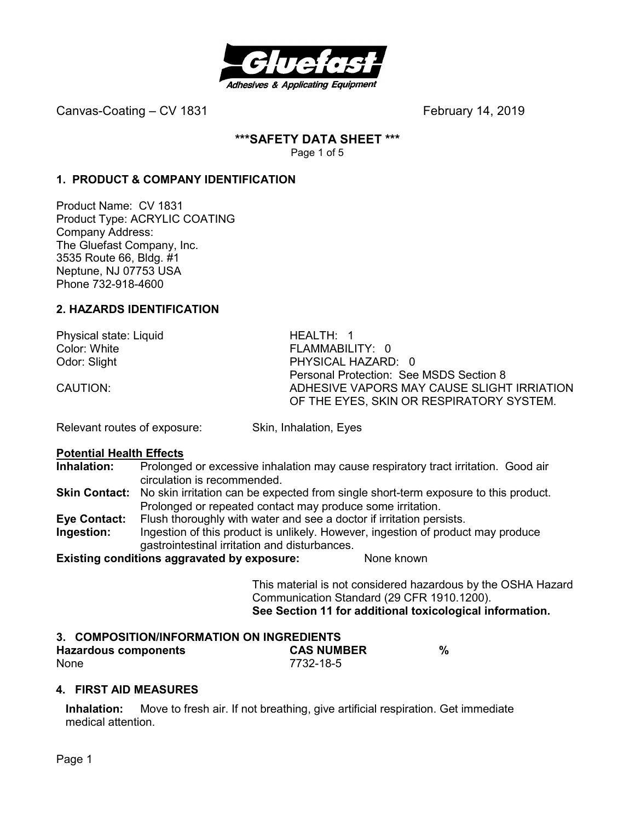

Canvas-Coating – CV 1831 **February 14, 2019** February 14, 2019

# **\*\*\*SAFETY DATA SHEET \*\*\***

Page 1 of 5

# **1. PRODUCT & COMPANY IDENTIFICATION**

Product Name: CV 1831 Product Type: ACRYLIC COATING Company Address: The Gluefast Company, Inc. 3535 Route 66, Bldg. #1 Neptune, NJ 07753 USA Phone 732-918-4600

### **2. HAZARDS IDENTIFICATION**

Physical state: Liquid **HEALTH: 1**<br>Color: White **Health Color: White** 

FLAMMABILITY: 0 Odor: Slight **PHYSICAL HAZARD:** 0 Personal Protection: See MSDS Section 8 CAUTION: ADHESIVE VAPORS MAY CAUSE SLIGHT IRRIATION OF THE EYES, SKIN OR RESPIRATORY SYSTEM.

Relevant routes of exposure: Skin, Inhalation, Eyes

#### **Potential Health Effects**

**Inhalation:** Prolonged or excessive inhalation may cause respiratory tract irritation. Good air circulation is recommended.

- **Skin Contact:** No skin irritation can be expected from single short-term exposure to this product. Prolonged or repeated contact may produce some irritation.
- **Eye Contact:** Flush thoroughly with water and see a doctor if irritation persists.
- **Ingestion:** Ingestion of this product is unlikely. However, ingestion of product may produce gastrointestinal irritation and disturbances.

**Existing conditions aggravated by exposure:** None known

This material is not considered hazardous by the OSHA Hazard Communication Standard (29 CFR 1910.1200). **See Section 11 for additional toxicological information.** 

#### **3. COMPOSITION/INFORMATION ON INGREDIENTS**

| <b>Hazardous components</b> | <b>CAS NUMBER</b> |  |
|-----------------------------|-------------------|--|
| None                        | 7732-18-5         |  |

#### **4. FIRST AID MEASURES**

**Inhalation:** Move to fresh air. If not breathing, give artificial respiration. Get immediate medical attention.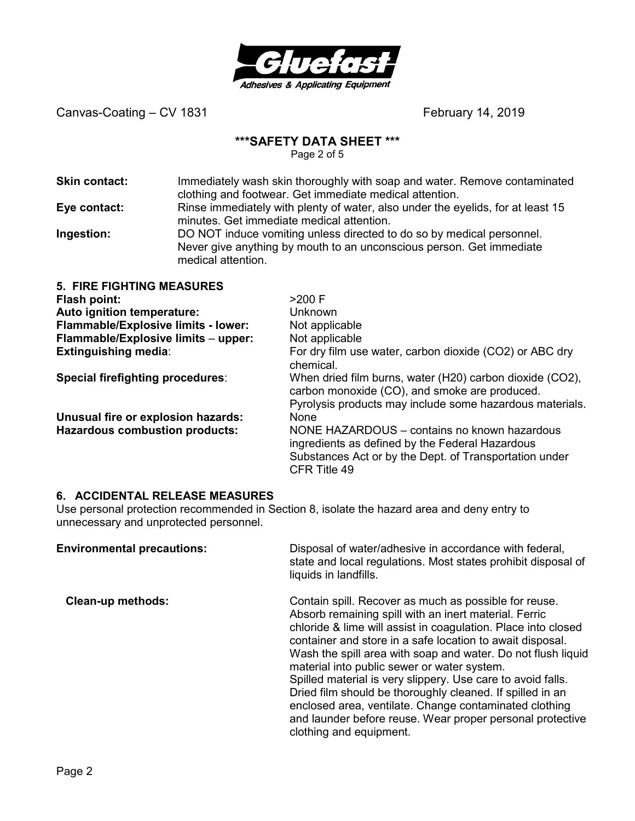

Canvas-Coating – CV 1831 Canvas-Coating – CV 1831

#### **\*\*\*SAFETY DATA SHEET \*\*\***

Page 2 of 5

| <b>Skin contact:</b> | Immediately wash skin thoroughly with soap and water. Remove contaminated       |
|----------------------|---------------------------------------------------------------------------------|
|                      | clothing and footwear. Get immediate medical attention.                         |
| Eye contact:         | Rinse immediately with plenty of water, also under the eyelids, for at least 15 |
|                      | minutes. Get immediate medical attention.                                       |
| Ingestion:           | DO NOT induce vomiting unless directed to do so by medical personnel.           |
|                      | Never give anything by mouth to an unconscious person. Get immediate            |
|                      |                                                                                 |

medical attention.

| <b>5. FIRE FIGHTING MEASURES</b>      |                                                                                                                                                                           |
|---------------------------------------|---------------------------------------------------------------------------------------------------------------------------------------------------------------------------|
| Flash point:                          | $>200$ F                                                                                                                                                                  |
| Auto ignition temperature:            | <b>Unknown</b>                                                                                                                                                            |
| Flammable/Explosive limits - lower:   | Not applicable                                                                                                                                                            |
| Flammable/Explosive limits - upper:   | Not applicable                                                                                                                                                            |
| <b>Extinguishing media:</b>           | For dry film use water, carbon dioxide (CO2) or ABC dry<br>chemical.                                                                                                      |
| Special firefighting procedures:      | When dried film burns, water (H20) carbon dioxide (CO2),<br>carbon monoxide (CO), and smoke are produced.<br>Pyrolysis products may include some hazardous materials.     |
| Unusual fire or explosion hazards:    | <b>None</b>                                                                                                                                                               |
| <b>Hazardous combustion products:</b> | NONE HAZARDOUS – contains no known hazardous<br>ingredients as defined by the Federal Hazardous<br>Substances Act or by the Dept. of Transportation under<br>CFR Title 49 |

#### **6. ACCIDENTAL RELEASE MEASURES**

Use personal protection recommended in Section 8, isolate the hazard area and deny entry to unnecessary and unprotected personnel.

| <b>Environmental precautions:</b> | Disposal of water/adhesive in accordance with federal,<br>state and local regulations. Most states prohibit disposal of<br>liquids in landfills.                                                                                                                                                                                                                                                                                                                                                                                                                                                                                          |
|-----------------------------------|-------------------------------------------------------------------------------------------------------------------------------------------------------------------------------------------------------------------------------------------------------------------------------------------------------------------------------------------------------------------------------------------------------------------------------------------------------------------------------------------------------------------------------------------------------------------------------------------------------------------------------------------|
| <b>Clean-up methods:</b>          | Contain spill. Recover as much as possible for reuse.<br>Absorb remaining spill with an inert material. Ferric<br>chloride & lime will assist in coagulation. Place into closed<br>container and store in a safe location to await disposal.<br>Wash the spill area with soap and water. Do not flush liquid<br>material into public sewer or water system.<br>Spilled material is very slippery. Use care to avoid falls.<br>Dried film should be thoroughly cleaned. If spilled in an<br>enclosed area, ventilate. Change contaminated clothing<br>and launder before reuse. Wear proper personal protective<br>clothing and equipment. |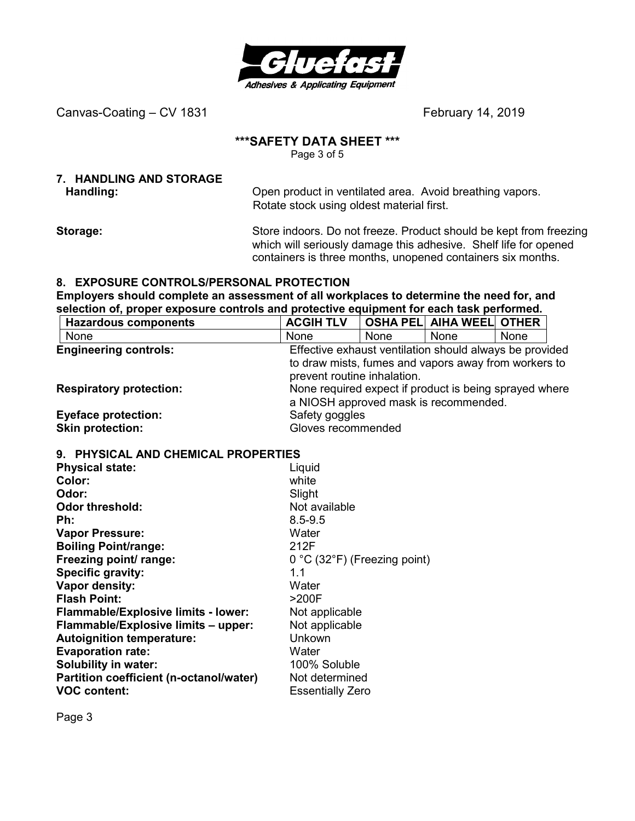

Canvas-Coating – CV 1831 Canvas-Coating – CV 1831

#### **\*\*\*SAFETY DATA SHEET \*\*\***

Page 3 of 5

# **7. HANDLING AND STORAGE**

Handling: **Handling: C** Open product in ventilated area. Avoid breathing vapors. Rotate stock using oldest material first.

**Storage:** Store indoors. Do not freeze. Product should be kept from freezing which will seriously damage this adhesive. Shelf life for opened containers is three months, unopened containers six months.

#### **8. EXPOSURE CONTROLS/PERSONAL PROTECTION**

**Employers should complete an assessment of all workplaces to determine the need for, and selection of, proper exposure controls and protective equipment for each task performed.** 

| <b>Hazardous components</b>    | <b>ACGIH TLV</b>                                                                                |                                                         | <b>OSHA PEL AIHA WEEL OTHER</b>                      |      |  |
|--------------------------------|-------------------------------------------------------------------------------------------------|---------------------------------------------------------|------------------------------------------------------|------|--|
| None                           | None                                                                                            | None                                                    | <b>None</b>                                          | None |  |
| <b>Engineering controls:</b>   |                                                                                                 | Effective exhaust ventilation should always be provided |                                                      |      |  |
|                                | prevent routine inhalation.                                                                     |                                                         | to draw mists, fumes and vapors away from workers to |      |  |
| <b>Respiratory protection:</b> | None required expect if product is being sprayed where<br>a NIOSH approved mask is recommended. |                                                         |                                                      |      |  |
| <b>Eyeface protection:</b>     | Safety goggles                                                                                  |                                                         |                                                      |      |  |
| <b>Skin protection:</b>        | Gloves recommended                                                                              |                                                         |                                                      |      |  |

#### **9. PHYSICAL AND CHEMICAL PROPERTIES**

| <b>Physical state:</b>                     | Liquid                                           |
|--------------------------------------------|--------------------------------------------------|
| Color:                                     | white                                            |
| Odor:                                      | Slight                                           |
| <b>Odor threshold:</b>                     | Not available                                    |
| Ph:                                        | $8.5 - 9.5$                                      |
| <b>Vapor Pressure:</b>                     | Water                                            |
| <b>Boiling Point/range:</b>                | 212F                                             |
| Freezing point/ range:                     | $0^{\circ}$ C (32 $^{\circ}$ F) (Freezing point) |
| <b>Specific gravity:</b>                   | 1.1                                              |
| Vapor density:                             | Water                                            |
| <b>Flash Point:</b>                        | >200F                                            |
| <b>Flammable/Explosive limits - lower:</b> | Not applicable                                   |
| Flammable/Explosive limits - upper:        | Not applicable                                   |
| <b>Autoignition temperature:</b>           | Unkown                                           |
| <b>Evaporation rate:</b>                   | Water                                            |
| Solubility in water:                       | 100% Soluble                                     |
| Partition coefficient (n-octanol/water)    | Not determined                                   |
| <b>VOC content:</b>                        | <b>Essentially Zero</b>                          |

Page 3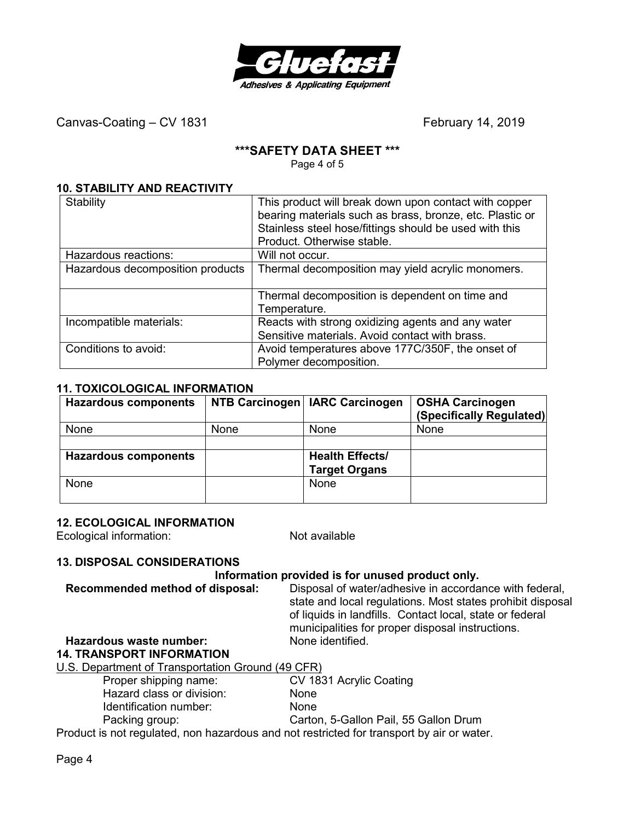

Canvas-Coating – CV 1831 February 14, 2019

#### **\*\*\*SAFETY DATA SHEET \*\*\***

Page 4 of 5

#### **10. STABILITY AND REACTIVITY**

| Stability                        | This product will break down upon contact with copper<br>bearing materials such as brass, bronze, etc. Plastic or<br>Stainless steel hose/fittings should be used with this |
|----------------------------------|-----------------------------------------------------------------------------------------------------------------------------------------------------------------------------|
|                                  | Product. Otherwise stable.                                                                                                                                                  |
| Hazardous reactions:             | Will not occur.                                                                                                                                                             |
| Hazardous decomposition products | Thermal decomposition may yield acrylic monomers.                                                                                                                           |
|                                  | Thermal decomposition is dependent on time and<br>Temperature.                                                                                                              |
| Incompatible materials:          | Reacts with strong oxidizing agents and any water<br>Sensitive materials. Avoid contact with brass.                                                                         |
| Conditions to avoid:             | Avoid temperatures above 177C/350F, the onset of<br>Polymer decomposition.                                                                                                  |

#### **11. TOXICOLOGICAL INFORMATION**

| <b>Hazardous components</b> |      | NTB Carcinogen   IARC Carcinogen | <b>OSHA Carcinogen</b><br>(Specifically Regulated) |
|-----------------------------|------|----------------------------------|----------------------------------------------------|
| None                        | None | None                             | <b>None</b>                                        |
|                             |      |                                  |                                                    |
| <b>Hazardous components</b> |      | <b>Health Effects/</b>           |                                                    |
|                             |      | <b>Target Organs</b>             |                                                    |
| None                        |      | None                             |                                                    |
|                             |      |                                  |                                                    |

#### **12. ECOLOGICAL INFORMATION**

Ecological information: Not available

#### **13. DISPOSAL CONSIDERATIONS**

#### **Information provided is for unused product only.**

**Recommended method of disposal:** Disposal of water/adhesive in accordance with federal, state and local regulations. Most states prohibit disposal of liquids in landfills. Contact local, state or federal municipalities for proper disposal instructions.

# **Hazardous waste number:**

#### **14. TRANSPORT INFORMATION**

U.S. Department of Transportation Ground (49 CFR)

| Proper shipping name:     | CV 1831 Acrylic Coating                                                                    |
|---------------------------|--------------------------------------------------------------------------------------------|
| Hazard class or division: | <b>None</b>                                                                                |
| Identification number:    | <b>None</b>                                                                                |
|                           | $\mathcal{L}$ . For $\mathcal{L}$ is the state $\mathcal{L}$ is the state of $\mathcal{L}$ |

Packing group: Carton, 5-Gallon Pail, 55 Gallon Drum

Product is not regulated, non hazardous and not restricted for transport by air or water.